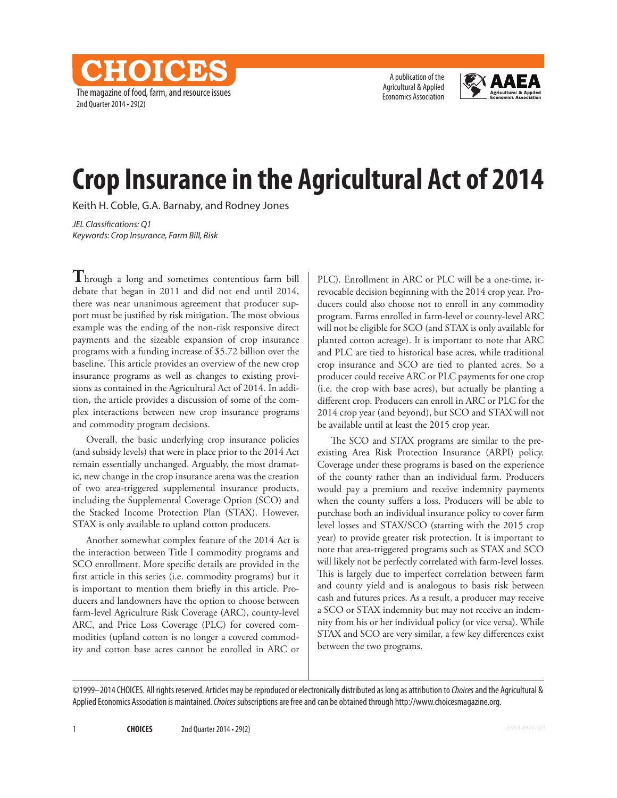The magazine of food, farm, and resource issues 2nd Quarter 2014 • 29(2)

CHOICES

A publication of the Agricultural & Applied Economics Association



# **Crop Insurance in the Agricultural Act of 2014**

Keith H. Coble, G.A. Barnaby, and Rodney Jones

*JEL Classifications: Q1 Keywords: Crop Insurance, Farm Bill, Risk*

**T**hrough a long and sometimes contentious farm bill debate that began in 2011 and did not end until 2014, there was near unanimous agreement that producer support must be justified by risk mitigation. The most obvious example was the ending of the non-risk responsive direct payments and the sizeable expansion of crop insurance programs with a funding increase of \$5.72 billion over the baseline. This article provides an overview of the new crop insurance programs as well as changes to existing provisions as contained in the Agricultural Act of 2014. In addition, the article provides a discussion of some of the complex interactions between new crop insurance programs and commodity program decisions.

Overall, the basic underlying crop insurance policies (and subsidy levels) that were in place prior to the 2014 Act remain essentially unchanged. Arguably, the most dramatic, new change in the crop insurance arena was the creation of two area-triggered supplemental insurance products, including the Supplemental Coverage Option (SCO) and the Stacked Income Protection Plan (STAX). However, STAX is only available to upland cotton producers.

Another somewhat complex feature of the 2014 Act is the interaction between Title I commodity programs and SCO enrollment. More specific details are provided in the first article in this series (i.e. commodity programs) but it is important to mention them briefly in this article. Producers and landowners have the option to choose between farm-level Agriculture Risk Coverage (ARC), county-level ARC, and Price Loss Coverage (PLC) for covered commodities (upland cotton is no longer a covered commodity and cotton base acres cannot be enrolled in ARC or PLC). Enrollment in ARC or PLC will be a one-time, irrevocable decision beginning with the 2014 crop year. Producers could also choose not to enroll in any commodity program. Farms enrolled in farm-level or county-level ARC will not be eligible for SCO (and STAX is only available for planted cotton acreage). It is important to note that ARC and PLC are tied to historical base acres, while traditional crop insurance and SCO are tied to planted acres. So a producer could receive ARC or PLC payments for one crop (i.e. the crop with base acres), but actually be planting a different crop. Producers can enroll in ARC or PLC for the 2014 crop year (and beyond), but SCO and STAX will not be available until at least the 2015 crop year.

The SCO and STAX programs are similar to the preexisting Area Risk Protection Insurance (ARPI) policy. Coverage under these programs is based on the experience of the county rather than an individual farm. Producers would pay a premium and receive indemnity payments when the county suffers a loss. Producers will be able to purchase both an individual insurance policy to cover farm level losses and STAX/SCO (starting with the 2015 crop year) to provide greater risk protection. It is important to note that area-triggered programs such as STAX and SCO will likely not be perfectly correlated with farm-level losses. This is largely due to imperfect correlation between farm and county yield and is analogous to basis risk between cash and futures prices. As a result, a producer may receive a SCO or STAX indemnity but may not receive an indemnity from his or her individual policy (or vice versa). While STAX and SCO are very similar, a few key differences exist between the two programs.

©1999–2014 CHOICES. All rights reserved. Articles may be reproduced or electronically distributed as long as attribution to *Choices* and the Agricultural & Applied Economics Association is maintained. *Choices* subscriptions are free and can be obtained through http://www.choicesmagazine.org.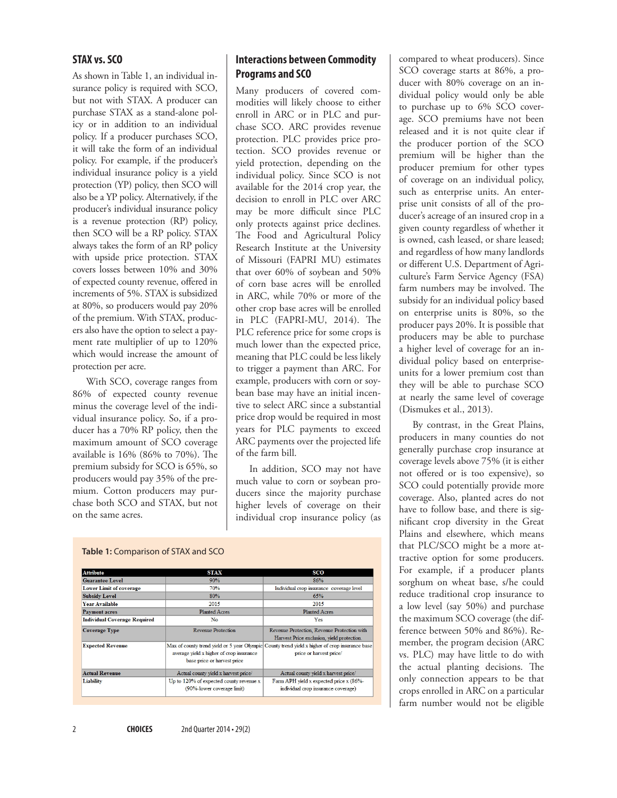#### **STAX vs. SCO**

As shown in Table 1, an individual insurance policy is required with SCO, but not with STAX. A producer can purchase STAX as a stand-alone policy or in addition to an individual policy. If a producer purchases SCO, it will take the form of an individual policy. For example, if the producer's individual insurance policy is a yield protection (YP) policy, then SCO will also be a YP policy. Alternatively, if the producer's individual insurance policy is a revenue protection (RP) policy, then SCO will be a RP policy. STAX always takes the form of an RP policy with upside price protection. STAX covers losses between 10% and 30% of expected county revenue, offered in increments of 5%. STAX is subsidized at 80%, so producers would pay 20% of the premium. With STAX, producers also have the option to select a payment rate multiplier of up to 120% which would increase the amount of protection per acre.

With SCO, coverage ranges from 86% of expected county revenue minus the coverage level of the individual insurance policy. So, if a producer has a 70% RP policy, then the maximum amount of SCO coverage available is 16% (86% to 70%). The premium subsidy for SCO is 65%, so producers would pay 35% of the premium. Cotton producers may purchase both SCO and STAX, but not on the same acres.

## **Interactions between Commodity Programs and SCO**

Many producers of covered commodities will likely choose to either enroll in ARC or in PLC and purchase SCO. ARC provides revenue protection. PLC provides price protection. SCO provides revenue or yield protection, depending on the individual policy. Since SCO is not available for the 2014 crop year, the decision to enroll in PLC over ARC may be more difficult since PLC only protects against price declines. The Food and Agricultural Policy Research Institute at the University of Missouri (FAPRI MU) estimates that over 60% of soybean and 50% of corn base acres will be enrolled in ARC, while 70% or more of the other crop base acres will be enrolled in PLC (FAPRI-MU, 2014). The PLC reference price for some crops is much lower than the expected price, meaning that PLC could be less likely to trigger a payment than ARC. For example, producers with corn or soybean base may have an initial incentive to select ARC since a substantial price drop would be required in most years for PLC payments to exceed ARC payments over the projected life of the farm bill.

In addition, SCO may not have much value to corn or soybean producers since the majority purchase higher levels of coverage on their individual crop insurance policy (as

|  |  | <b>Table 1:</b> Comparison of STAX and SCO |
|--|--|--------------------------------------------|
|  |  |                                            |

| <b>Attribute</b>                    | <b>STAX</b>                                | <b>SCO</b>                                                                                     |  |
|-------------------------------------|--------------------------------------------|------------------------------------------------------------------------------------------------|--|
| <b>Guarantee Level</b>              | 90%                                        | 86%                                                                                            |  |
| <b>Lower Limit of coverage</b>      | 70%                                        | Individual crop insurance coverage level                                                       |  |
| <b>Subsidy Level</b>                | 80%                                        | 65%                                                                                            |  |
| <b>Year Available</b>               | 2015                                       | 2015                                                                                           |  |
| <b>Payment acres</b>                | <b>Planted Acres</b>                       | <b>Planted Acres</b>                                                                           |  |
| <b>Individual Coverage Required</b> | No                                         | Yes                                                                                            |  |
| <b>Coverage Type</b>                | <b>Revenue Protection</b>                  | Revenue Protection, Revenue Protection with                                                    |  |
|                                     |                                            | Harvest Price exclusion, yield protection.                                                     |  |
| <b>Expected Revenue</b>             |                                            | Max of county trend yield or 5 year Olympic County trend yield x higher of crop insurance base |  |
|                                     | average yield x higher of crop insurance   | price or harvest price/                                                                        |  |
|                                     | base price or harvest price                |                                                                                                |  |
| <b>Actual Revenue</b>               | Actual county yield x harvest price/       | Actual county yield x harvest price/                                                           |  |
| Liability                           | Up to $120\%$ of expected county revenue x | Farm APH yield x expected price x (86%-                                                        |  |
|                                     | (90%-lower coverage limit)                 | individual crop insurance coverage)                                                            |  |
|                                     |                                            |                                                                                                |  |

SCO coverage starts at 86%, a producer with 80% coverage on an individual policy would only be able to purchase up to 6% SCO coverage. SCO premiums have not been released and it is not quite clear if the producer portion of the SCO premium will be higher than the producer premium for other types of coverage on an individual policy, such as enterprise units. An enterprise unit consists of all of the producer's acreage of an insured crop in a given county regardless of whether it is owned, cash leased, or share leased; and regardless of how many landlords or different U.S. Department of Agriculture's Farm Service Agency (FSA) farm numbers may be involved. The subsidy for an individual policy based on enterprise units is 80%, so the producer pays 20%. It is possible that producers may be able to purchase a higher level of coverage for an individual policy based on enterpriseunits for a lower premium cost than they will be able to purchase SCO at nearly the same level of coverage

compared to wheat producers). Since

By contrast, in the Great Plains, producers in many counties do not generally purchase crop insurance at coverage levels above 75% (it is either not offered or is too expensive), so SCO could potentially provide more coverage. Also, planted acres do not have to follow base, and there is significant crop diversity in the Great Plains and elsewhere, which means that PLC/SCO might be a more attractive option for some producers. For example, if a producer plants sorghum on wheat base, s/he could reduce traditional crop insurance to a low level (say 50%) and purchase the maximum SCO coverage (the difference between 50% and 86%). Remember, the program decision (ARC vs. PLC) may have little to do with the actual planting decisions. The only connection appears to be that crops enrolled in ARC on a particular farm number would not be eligible

(Dismukes et al., 2013).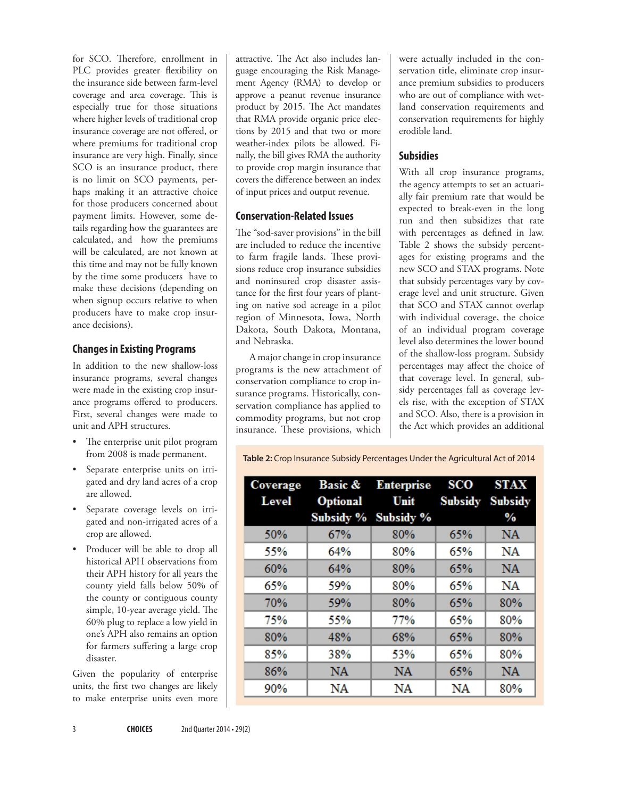for SCO. Therefore, enrollment in PLC provides greater flexibility on the insurance side between farm-level coverage and area coverage. This is especially true for those situations where higher levels of traditional crop insurance coverage are not offered, or where premiums for traditional crop insurance are very high. Finally, since SCO is an insurance product, there is no limit on SCO payments, perhaps making it an attractive choice for those producers concerned about payment limits. However, some details regarding how the guarantees are calculated, and how the premiums will be calculated, are not known at this time and may not be fully known by the time some producers have to make these decisions (depending on when signup occurs relative to when producers have to make crop insurance decisions).

## **Changes in Existing Programs**

In addition to the new shallow-loss insurance programs, several changes were made in the existing crop insurance programs offered to producers. First, several changes were made to unit and APH structures.

- The enterprise unit pilot program from 2008 is made permanent.
- Separate enterprise units on irrigated and dry land acres of a crop are allowed.
- Separate coverage levels on irrigated and non-irrigated acres of a crop are allowed.
- • Producer will be able to drop all historical APH observations from their APH history for all years the county yield falls below 50% of the county or contiguous county simple, 10-year average yield. The 60% plug to replace a low yield in one's APH also remains an option for farmers suffering a large crop disaster.

Given the popularity of enterprise units, the first two changes are likely to make enterprise units even more

attractive. The Act also includes language encouraging the Risk Management Agency (RMA) to develop or approve a peanut revenue insurance product by 2015. The Act mandates that RMA provide organic price elections by 2015 and that two or more weather-index pilots be allowed. Finally, the bill gives RMA the authority to provide crop margin insurance that covers the difference between an index of input prices and output revenue.

### **Conservation-Related Issues**

The "sod-saver provisions" in the bill are included to reduce the incentive to farm fragile lands. These provisions reduce crop insurance subsidies and noninsured crop disaster assistance for the first four years of planting on native sod acreage in a pilot region of Minnesota, Iowa, North Dakota, South Dakota, Montana, and Nebraska.

A major change in crop insurance programs is the new attachment of conservation compliance to crop insurance programs. Historically, conservation compliance has applied to commodity programs, but not crop insurance. These provisions, which

were actually included in the conservation title, eliminate crop insurance premium subsidies to producers who are out of compliance with wetland conservation requirements and conservation requirements for highly erodible land.

# **Subsidies**

With all crop insurance programs, the agency attempts to set an actuarially fair premium rate that would be expected to break-even in the long run and then subsidizes that rate with percentages as defined in law. Table 2 shows the subsidy percentages for existing programs and the new SCO and STAX programs. Note that subsidy percentages vary by coverage level and unit structure. Given that SCO and STAX cannot overlap with individual coverage, the choice of an individual program coverage level also determines the lower bound of the shallow-loss program. Subsidy percentages may affect the choice of that coverage level. In general, subsidy percentages fall as coverage levels rise, with the exception of STAX and SCO. Also, there is a provision in the Act which provides an additional

**Table 2:** Crop Insurance Subsidy Percentages Under the Agricultural Act of 2014

| Coverage<br>Level | <b>Optional</b> | Basic & Enterprise<br>$Unit$ | <b>SCO</b> | STAX<br><b>Subsidy Subsidy</b> |
|-------------------|-----------------|------------------------------|------------|--------------------------------|
|                   |                 | Subsidy % Subsidy %          |            | $\%$                           |
| 50%               | 67%             | 80%                          | 65%        | <b>NA</b>                      |
| 55%               | 64%             | 80%                          | 65%        | NA                             |
| 60%               | 64%             | 80%                          | 65%        | NA                             |
| 65%               | 59%             | 80%                          | 65%        | NA                             |
| <b>70%</b>        | 59%             | 80%                          | 65%        | 80%                            |
| 75%               | 55%             | 77%                          | 65%        | 80%                            |
| 80%               | 48%             | 68%                          | 65%        | 80%                            |
| 85%               | 38%             | 53%                          | 65%        | 80%                            |
| 86%               | NA.             | <b>NA</b>                    | 65%        | <b>NA</b>                      |
| 90%               | NA              | NA                           | NA         | 80%                            |